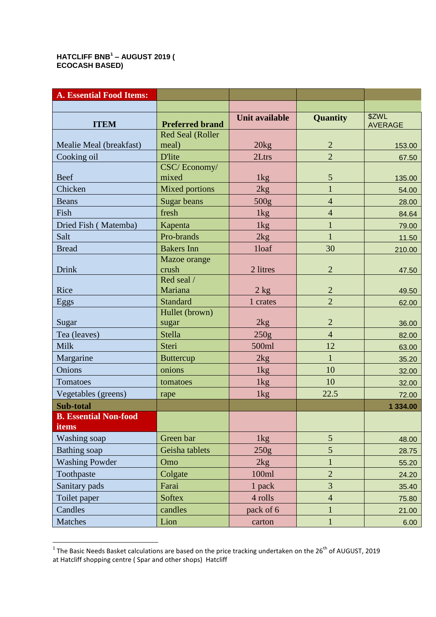## **HATCLIFF BNB<sup>1</sup> – AUGUST 2019 ( ECOCASH BASED)**

| <b>A. Essential Food Items:</b> |                         |                       |                |                         |
|---------------------------------|-------------------------|-----------------------|----------------|-------------------------|
|                                 |                         |                       |                |                         |
| <b>ITEM</b>                     | <b>Preferred brand</b>  | <b>Unit available</b> | Quantity       | \$ZWL<br><b>AVERAGE</b> |
|                                 | <b>Red Seal (Roller</b> |                       |                |                         |
| Mealie Meal (breakfast)         | meal)                   | 20kg                  | $\overline{2}$ | 153.00                  |
| Cooking oil                     | <b>D'lite</b>           | 2Ltrs                 | $\overline{2}$ | 67.50                   |
| <b>Beef</b>                     | CSC/Economy/<br>mixed   | 1kg                   | 5              | 135.00                  |
| Chicken                         | <b>Mixed portions</b>   | 2kg                   | $\mathbf{1}$   | 54.00                   |
| <b>Beans</b>                    | <b>Sugar beans</b>      | 500g                  | $\overline{4}$ | 28.00                   |
| Fish                            | fresh                   | 1kg                   | $\overline{4}$ | 84.64                   |
| Dried Fish (Matemba)            | Kapenta                 | 1kg                   | $\mathbf{1}$   | 79.00                   |
| Salt                            | Pro-brands              | 2kg                   | $\mathbf{1}$   | 11.50                   |
| <b>Bread</b>                    | <b>Bakers</b> Inn       | 1loaf                 | 30             | 210.00                  |
| Drink                           | Mazoe orange<br>crush   | 2 litres              | $\overline{2}$ | 47.50                   |
| Rice                            | Red seal /<br>Mariana   | 2 kg                  | $\overline{2}$ | 49.50                   |
| Eggs                            | <b>Standard</b>         | 1 crates              | $\overline{2}$ | 62.00                   |
| Sugar                           | Hullet (brown)<br>sugar | 2kg                   | $\overline{2}$ | 36.00                   |
| Tea (leaves)                    | <b>Stella</b>           | 250g                  | $\overline{4}$ | 82.00                   |
| Milk                            | Steri                   | 500ml                 | 12             | 63.00                   |
| Margarine                       | <b>Buttercup</b>        | 2kg                   | $\mathbf{1}$   | 35.20                   |
| Onions                          | onions                  | 1kg                   | 10             | 32.00                   |
| Tomatoes                        | tomatoes                | 1 <sub>kg</sub>       | 10             | 32.00                   |
| Vegetables (greens)             | rape                    | 1kg                   | 22.5           | 72.00                   |
| Sub-total                       |                         |                       |                | 1 334.00                |
| <b>B. Essential Non-food</b>    |                         |                       |                |                         |
| items                           |                         |                       |                |                         |
| Washing soap                    | Green bar               | 1kg                   | $\mathfrak{S}$ | 48.00                   |
| <b>Bathing</b> soap             | Geisha tablets          | 250g                  | 5              | 28.75                   |
| <b>Washing Powder</b>           | Omo                     | 2kg                   | $\mathbf{1}$   | 55.20                   |
| Toothpaste                      | Colgate                 | 100ml                 | $\overline{2}$ | 24.20                   |
| Sanitary pads                   | Farai                   | 1 pack                | $\overline{3}$ | 35.40                   |
| Toilet paper                    | <b>Softex</b>           | 4 rolls               | $\overline{4}$ | 75.80                   |
| Candles                         | candles                 | pack of 6             | $\mathbf{1}$   | 21.00                   |
| Matches                         | Lion                    | carton                | $\mathbf{1}$   | 6.00                    |

 1 The Basic Needs Basket calculations are based on the price tracking undertaken on the 26th of AUGUST, 2019 at Hatcliff shopping centre ( Spar and other shops) Hatcliff